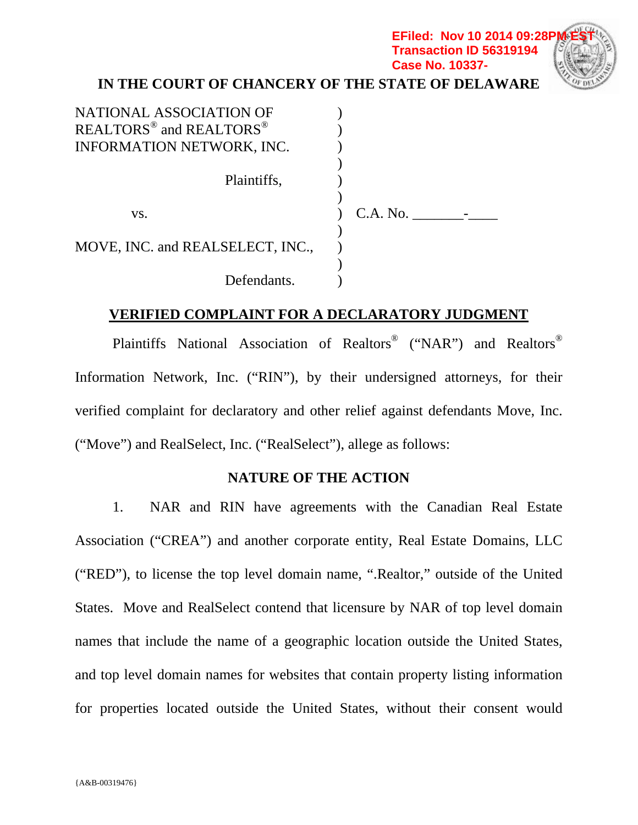### **IN THE COURT OF CHANCERY OF THE STATE OF DELAWARE EFiled: Nov 10 2014 09:28P Transaction ID 56319194 Case No. 10337-**

| NATIONAL ASSOCIATION OF                         |            |  |
|-------------------------------------------------|------------|--|
| REALTORS <sup>®</sup> and REALTORS <sup>®</sup> |            |  |
| <b>INFORMATION NETWORK, INC.</b>                |            |  |
|                                                 |            |  |
| Plaintiffs,                                     |            |  |
|                                                 |            |  |
| VS.                                             | $C.A.$ No. |  |
|                                                 |            |  |
| MOVE, INC. and REALSELECT, INC.,                |            |  |
|                                                 |            |  |
| Defendants.                                     |            |  |

### **VERIFIED COMPLAINT FOR A DECLARATORY JUDGMENT**

Plaintiffs National Association of Realtors® ("NAR") and Realtors® Information Network, Inc. ("RIN"), by their undersigned attorneys, for their verified complaint for declaratory and other relief against defendants Move, Inc. ("Move") and RealSelect, Inc. ("RealSelect"), allege as follows:

#### **NATURE OF THE ACTION**

1. NAR and RIN have agreements with the Canadian Real Estate Association ("CREA") and another corporate entity, Real Estate Domains, LLC ("RED"), to license the top level domain name, ".Realtor," outside of the United States. Move and RealSelect contend that licensure by NAR of top level domain names that include the name of a geographic location outside the United States, and top level domain names for websites that contain property listing information for properties located outside the United States, without their consent would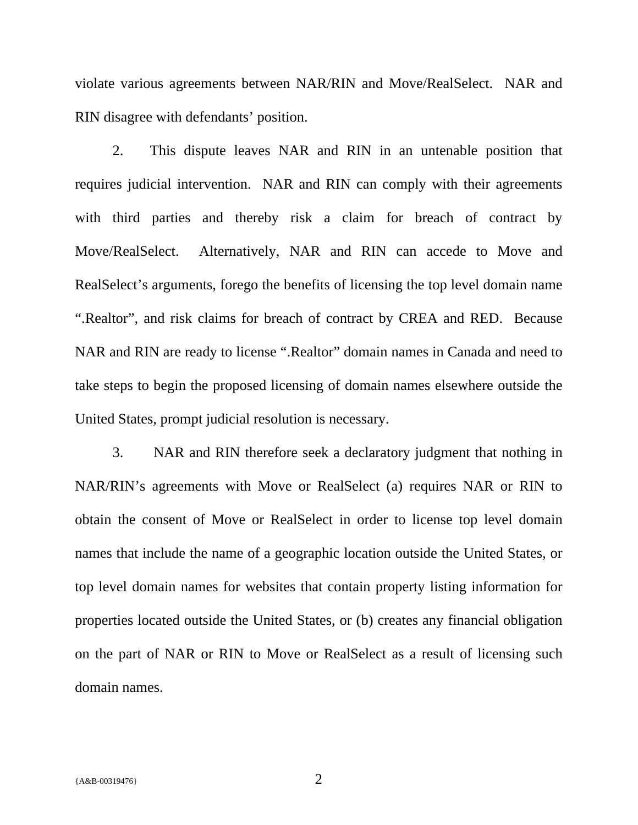violate various agreements between NAR/RIN and Move/RealSelect. NAR and RIN disagree with defendants' position.

2. This dispute leaves NAR and RIN in an untenable position that requires judicial intervention. NAR and RIN can comply with their agreements with third parties and thereby risk a claim for breach of contract by Move/RealSelect. Alternatively, NAR and RIN can accede to Move and RealSelect's arguments, forego the benefits of licensing the top level domain name ".Realtor", and risk claims for breach of contract by CREA and RED. Because NAR and RIN are ready to license ".Realtor" domain names in Canada and need to take steps to begin the proposed licensing of domain names elsewhere outside the United States, prompt judicial resolution is necessary.

3. NAR and RIN therefore seek a declaratory judgment that nothing in NAR/RIN's agreements with Move or RealSelect (a) requires NAR or RIN to obtain the consent of Move or RealSelect in order to license top level domain names that include the name of a geographic location outside the United States, or top level domain names for websites that contain property listing information for properties located outside the United States, or (b) creates any financial obligation on the part of NAR or RIN to Move or RealSelect as a result of licensing such domain names.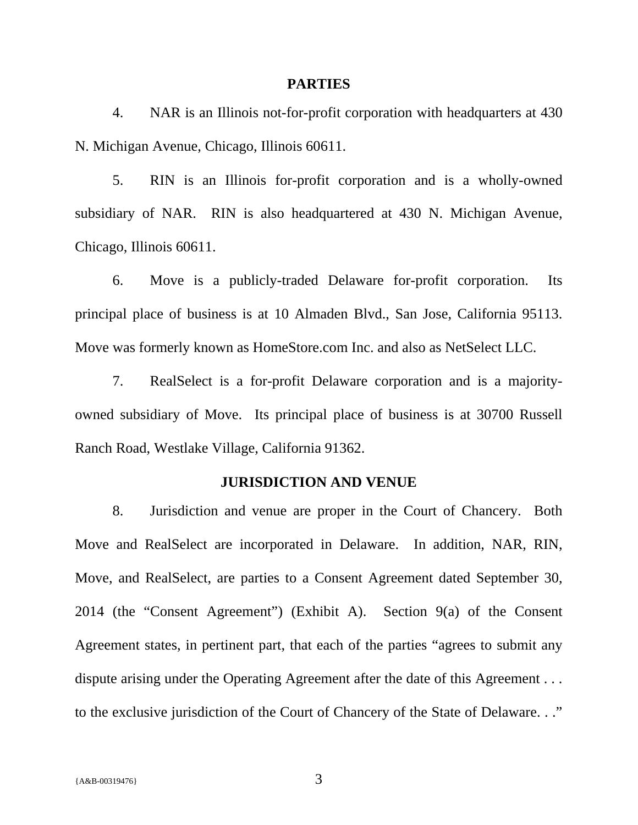#### **PARTIES**

4. NAR is an Illinois not-for-profit corporation with headquarters at 430 N. Michigan Avenue, Chicago, Illinois 60611.

5. RIN is an Illinois for-profit corporation and is a wholly-owned subsidiary of NAR. RIN is also headquartered at 430 N. Michigan Avenue, Chicago, Illinois 60611.

6. Move is a publicly-traded Delaware for-profit corporation. Its principal place of business is at 10 Almaden Blvd., San Jose, California 95113. Move was formerly known as HomeStore.com Inc. and also as NetSelect LLC.

7. RealSelect is a for-profit Delaware corporation and is a majorityowned subsidiary of Move. Its principal place of business is at 30700 Russell Ranch Road, Westlake Village, California 91362.

#### **JURISDICTION AND VENUE**

8. Jurisdiction and venue are proper in the Court of Chancery. Both Move and RealSelect are incorporated in Delaware. In addition, NAR, RIN, Move, and RealSelect, are parties to a Consent Agreement dated September 30, 2014 (the "Consent Agreement") (Exhibit A). Section 9(a) of the Consent Agreement states, in pertinent part, that each of the parties "agrees to submit any dispute arising under the Operating Agreement after the date of this Agreement . . . to the exclusive jurisdiction of the Court of Chancery of the State of Delaware. . ."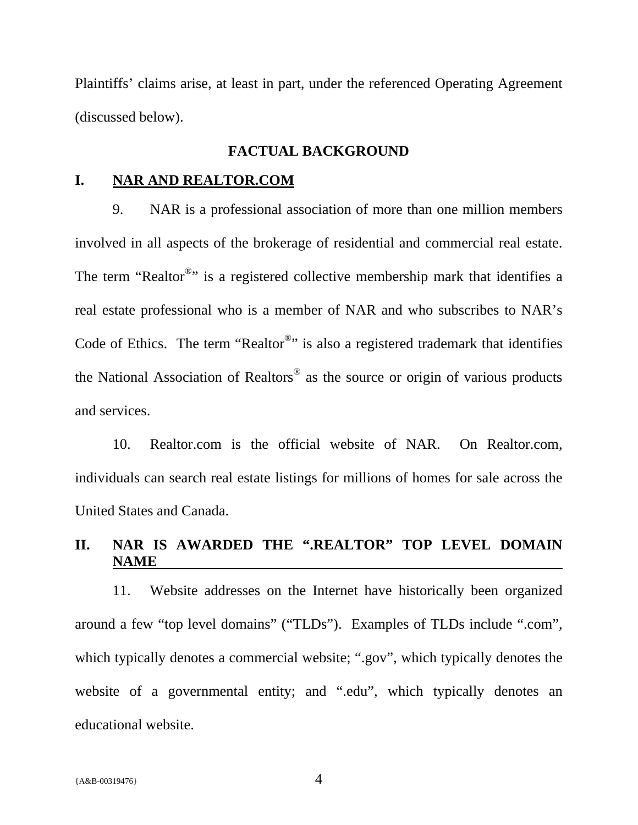Plaintiffs' claims arise, at least in part, under the referenced Operating Agreement (discussed below).

#### **FACTUAL BACKGROUND**

### **I. NAR AND REALTOR.COM**

9. NAR is a professional association of more than one million members involved in all aspects of the brokerage of residential and commercial real estate. The term "Realtor $^{\circledast}$ " is a registered collective membership mark that identifies a real estate professional who is a member of NAR and who subscribes to NAR's Code of Ethics. The term "Realtor<sup>®</sup>" is also a registered trademark that identifies the National Association of Realtors® as the source or origin of various products and services.

10. Realtor.com is the official website of NAR. On Realtor.com, individuals can search real estate listings for millions of homes for sale across the United States and Canada.

## **II. NAR IS AWARDED THE ".REALTOR" TOP LEVEL DOMAIN NAME**

11. Website addresses on the Internet have historically been organized around a few "top level domains" ("TLDs"). Examples of TLDs include ".com", which typically denotes a commercial website; ".gov", which typically denotes the website of a governmental entity; and ".edu", which typically denotes an educational website.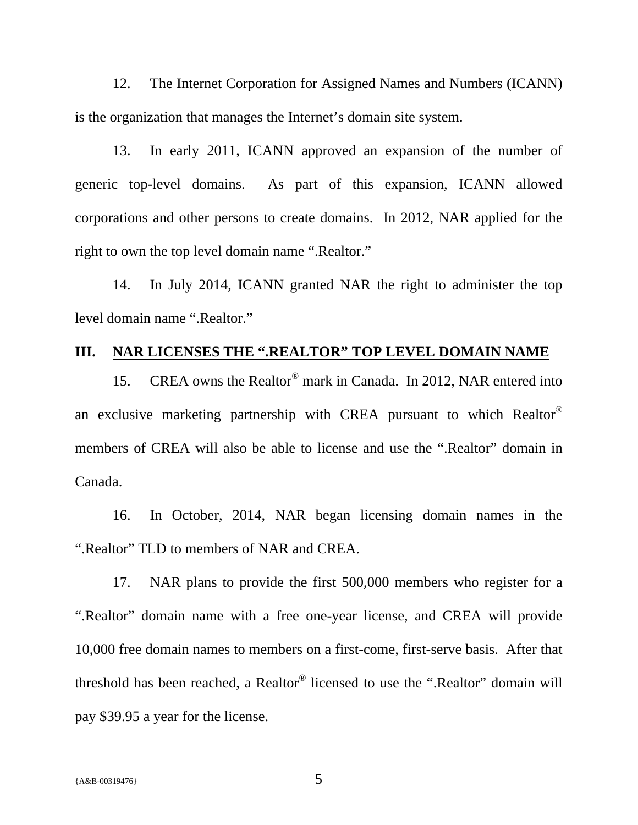12. The Internet Corporation for Assigned Names and Numbers (ICANN) is the organization that manages the Internet's domain site system.

13. In early 2011, ICANN approved an expansion of the number of generic top-level domains. As part of this expansion, ICANN allowed corporations and other persons to create domains. In 2012, NAR applied for the right to own the top level domain name ".Realtor."

14. In July 2014, ICANN granted NAR the right to administer the top level domain name ".Realtor."

## **III. NAR LICENSES THE ".REALTOR" TOP LEVEL DOMAIN NAME**

15. CREA owns the Realtor® mark in Canada. In 2012, NAR entered into an exclusive marketing partnership with CREA pursuant to which Realtor® members of CREA will also be able to license and use the ".Realtor" domain in Canada.

16. In October, 2014, NAR began licensing domain names in the ".Realtor" TLD to members of NAR and CREA.

17. NAR plans to provide the first 500,000 members who register for a ".Realtor" domain name with a free one-year license, and CREA will provide 10,000 free domain names to members on a first-come, first-serve basis. After that threshold has been reached, a Realtor® licensed to use the ".Realtor" domain will pay \$39.95 a year for the license.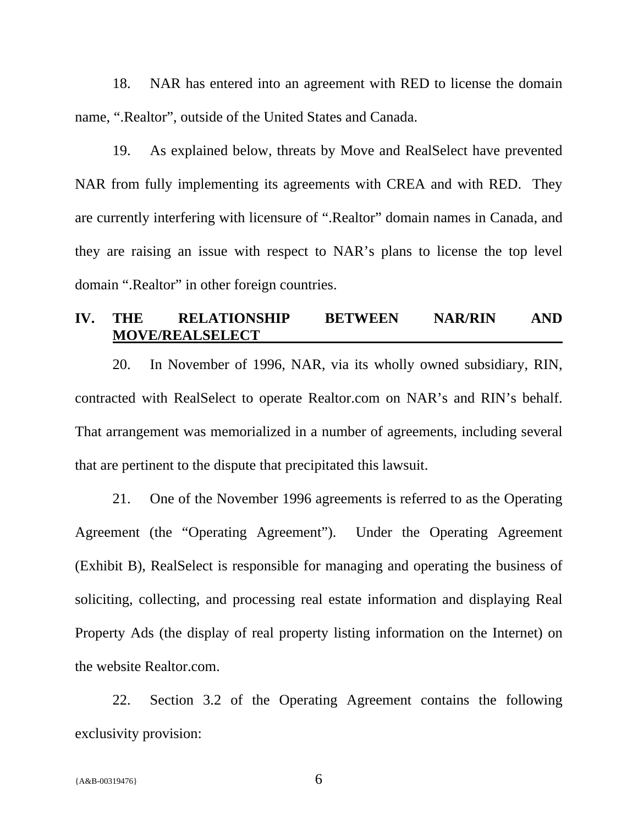18. NAR has entered into an agreement with RED to license the domain name, ".Realtor", outside of the United States and Canada.

19. As explained below, threats by Move and RealSelect have prevented NAR from fully implementing its agreements with CREA and with RED. They are currently interfering with licensure of ".Realtor" domain names in Canada, and they are raising an issue with respect to NAR's plans to license the top level domain ".Realtor" in other foreign countries.

#### **IV. THE RELATIONSHIP BETWEEN NAR/RIN AND MOVE/REALSELECT**

20. In November of 1996, NAR, via its wholly owned subsidiary, RIN, contracted with RealSelect to operate Realtor.com on NAR's and RIN's behalf. That arrangement was memorialized in a number of agreements, including several that are pertinent to the dispute that precipitated this lawsuit.

21. One of the November 1996 agreements is referred to as the Operating Agreement (the "Operating Agreement"). Under the Operating Agreement (Exhibit B), RealSelect is responsible for managing and operating the business of soliciting, collecting, and processing real estate information and displaying Real Property Ads (the display of real property listing information on the Internet) on the website Realtor.com.

22. Section 3.2 of the Operating Agreement contains the following exclusivity provision: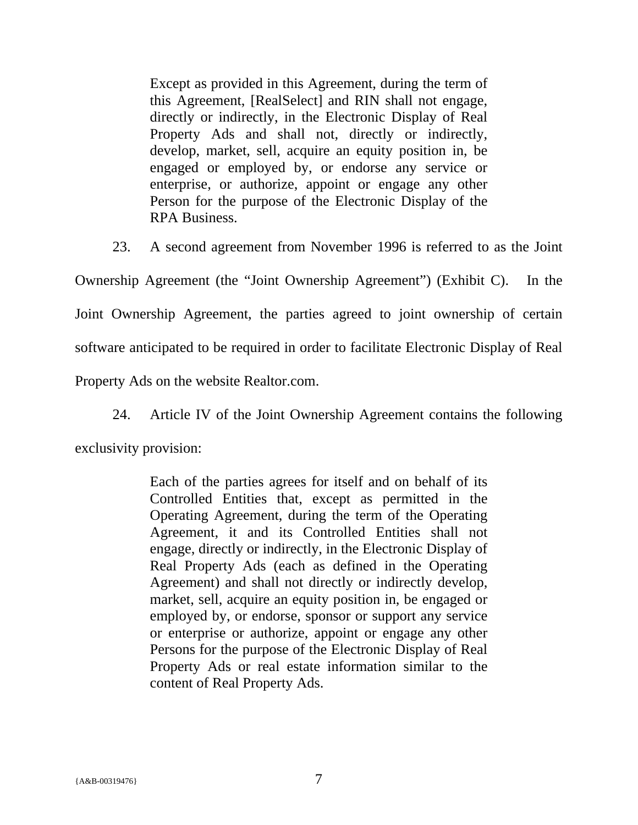Except as provided in this Agreement, during the term of this Agreement, [RealSelect] and RIN shall not engage, directly or indirectly, in the Electronic Display of Real Property Ads and shall not, directly or indirectly, develop, market, sell, acquire an equity position in, be engaged or employed by, or endorse any service or enterprise, or authorize, appoint or engage any other Person for the purpose of the Electronic Display of the RPA Business.

23. A second agreement from November 1996 is referred to as the Joint

Ownership Agreement (the "Joint Ownership Agreement") (Exhibit C). In the Joint Ownership Agreement, the parties agreed to joint ownership of certain software anticipated to be required in order to facilitate Electronic Display of Real Property Ads on the website Realtor.com.

24. Article IV of the Joint Ownership Agreement contains the following

exclusivity provision:

Each of the parties agrees for itself and on behalf of its Controlled Entities that, except as permitted in the Operating Agreement, during the term of the Operating Agreement, it and its Controlled Entities shall not engage, directly or indirectly, in the Electronic Display of Real Property Ads (each as defined in the Operating Agreement) and shall not directly or indirectly develop, market, sell, acquire an equity position in, be engaged or employed by, or endorse, sponsor or support any service or enterprise or authorize, appoint or engage any other Persons for the purpose of the Electronic Display of Real Property Ads or real estate information similar to the content of Real Property Ads.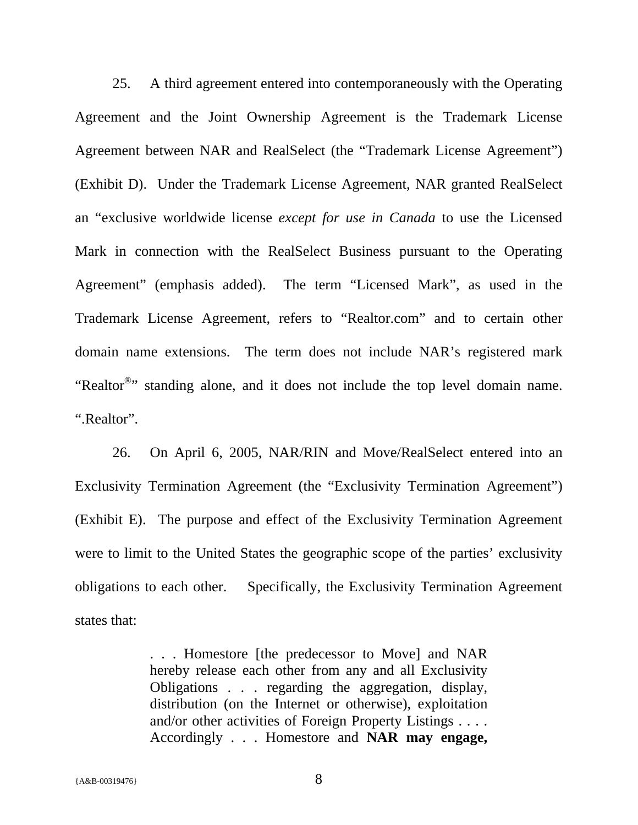25. A third agreement entered into contemporaneously with the Operating Agreement and the Joint Ownership Agreement is the Trademark License Agreement between NAR and RealSelect (the "Trademark License Agreement") (Exhibit D). Under the Trademark License Agreement, NAR granted RealSelect an "exclusive worldwide license *except for use in Canada* to use the Licensed Mark in connection with the RealSelect Business pursuant to the Operating Agreement" (emphasis added). The term "Licensed Mark", as used in the Trademark License Agreement, refers to "Realtor.com" and to certain other domain name extensions. The term does not include NAR's registered mark "Realtor<sup>®</sup>" standing alone, and it does not include the top level domain name. ".Realtor".

26. On April 6, 2005, NAR/RIN and Move/RealSelect entered into an Exclusivity Termination Agreement (the "Exclusivity Termination Agreement") (Exhibit E). The purpose and effect of the Exclusivity Termination Agreement were to limit to the United States the geographic scope of the parties' exclusivity obligations to each other. Specifically, the Exclusivity Termination Agreement states that:

> . . . Homestore [the predecessor to Move] and NAR hereby release each other from any and all Exclusivity Obligations . . . regarding the aggregation, display, distribution (on the Internet or otherwise), exploitation and/or other activities of Foreign Property Listings . . . . Accordingly . . . Homestore and **NAR may engage,**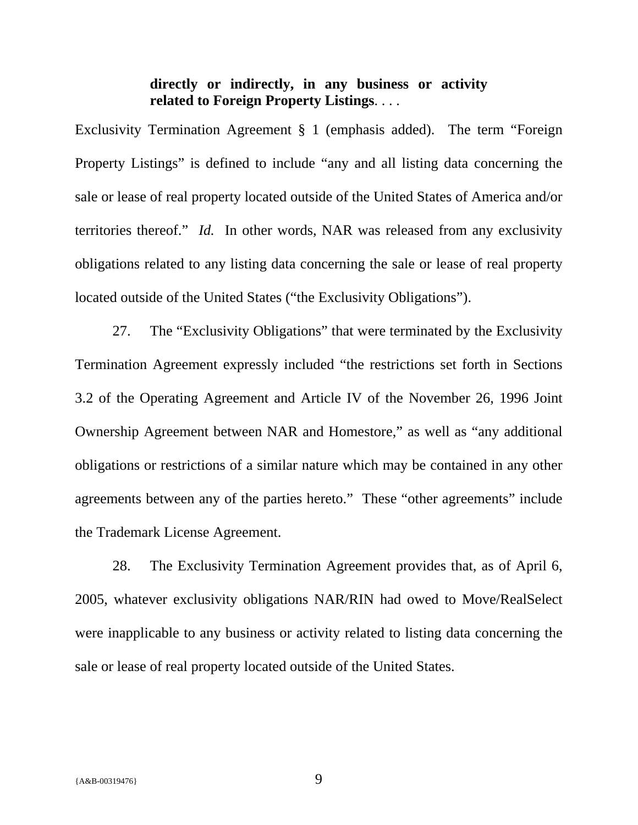## **directly or indirectly, in any business or activity related to Foreign Property Listings**. . . .

Exclusivity Termination Agreement § 1 (emphasis added). The term "Foreign Property Listings" is defined to include "any and all listing data concerning the sale or lease of real property located outside of the United States of America and/or territories thereof." *Id.* In other words, NAR was released from any exclusivity obligations related to any listing data concerning the sale or lease of real property located outside of the United States ("the Exclusivity Obligations").

27. The "Exclusivity Obligations" that were terminated by the Exclusivity Termination Agreement expressly included "the restrictions set forth in Sections 3.2 of the Operating Agreement and Article IV of the November 26, 1996 Joint Ownership Agreement between NAR and Homestore," as well as "any additional obligations or restrictions of a similar nature which may be contained in any other agreements between any of the parties hereto." These "other agreements" include the Trademark License Agreement.

28. The Exclusivity Termination Agreement provides that, as of April 6, 2005, whatever exclusivity obligations NAR/RIN had owed to Move/RealSelect were inapplicable to any business or activity related to listing data concerning the sale or lease of real property located outside of the United States.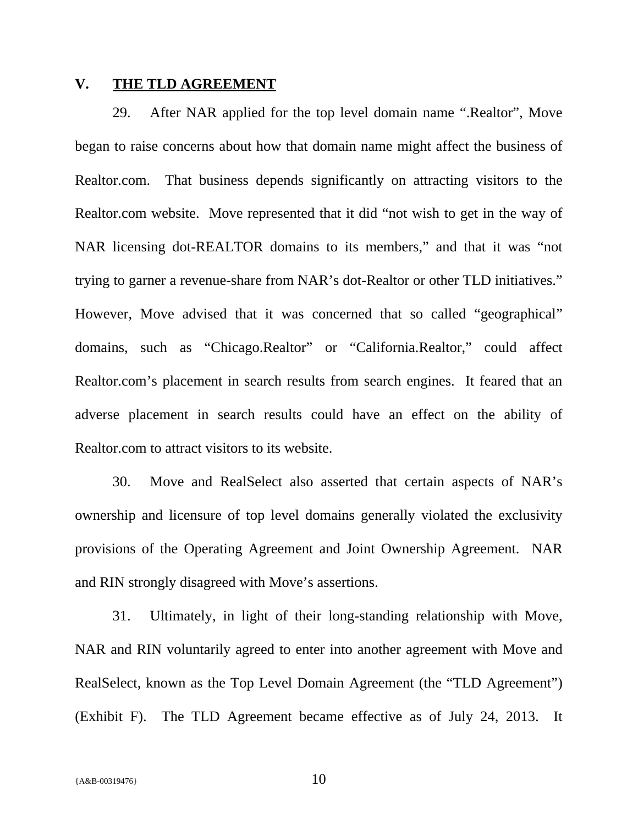#### **V. THE TLD AGREEMENT**

29. After NAR applied for the top level domain name ".Realtor", Move began to raise concerns about how that domain name might affect the business of Realtor.com. That business depends significantly on attracting visitors to the Realtor.com website. Move represented that it did "not wish to get in the way of NAR licensing dot-REALTOR domains to its members," and that it was "not trying to garner a revenue-share from NAR's dot-Realtor or other TLD initiatives." However, Move advised that it was concerned that so called "geographical" domains, such as "Chicago.Realtor" or "California.Realtor," could affect Realtor.com's placement in search results from search engines. It feared that an adverse placement in search results could have an effect on the ability of Realtor.com to attract visitors to its website.

30. Move and RealSelect also asserted that certain aspects of NAR's ownership and licensure of top level domains generally violated the exclusivity provisions of the Operating Agreement and Joint Ownership Agreement. NAR and RIN strongly disagreed with Move's assertions.

31. Ultimately, in light of their long-standing relationship with Move, NAR and RIN voluntarily agreed to enter into another agreement with Move and RealSelect, known as the Top Level Domain Agreement (the "TLD Agreement") (Exhibit F). The TLD Agreement became effective as of July 24, 2013. It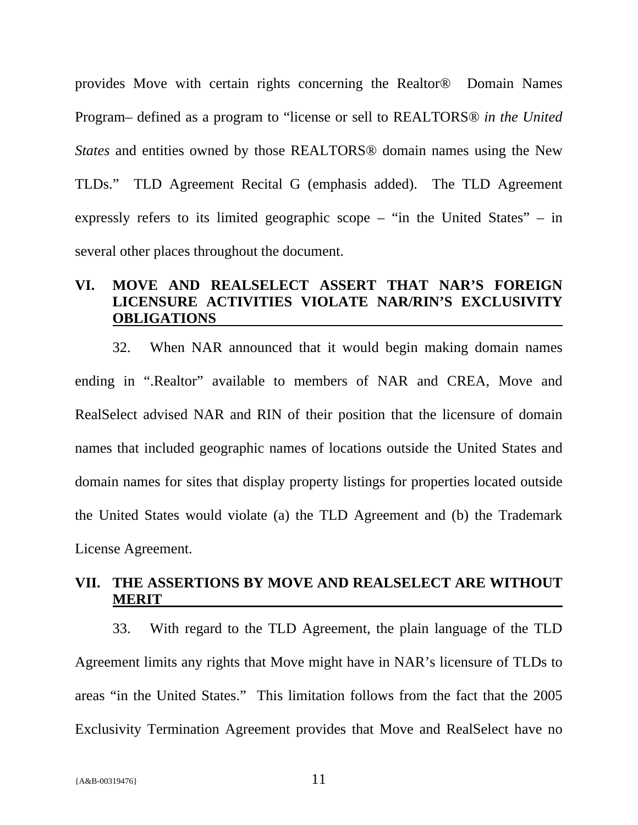provides Move with certain rights concerning the Realtor® Domain Names Program– defined as a program to "license or sell to REALTORS® *in the United States* and entities owned by those REALTORS® domain names using the New TLDs." TLD Agreement Recital G (emphasis added). The TLD Agreement expressly refers to its limited geographic scope – "in the United States" – in several other places throughout the document.

### **VI. MOVE AND REALSELECT ASSERT THAT NAR'S FOREIGN LICENSURE ACTIVITIES VIOLATE NAR/RIN'S EXCLUSIVITY OBLIGATIONS**

32. When NAR announced that it would begin making domain names ending in ".Realtor" available to members of NAR and CREA, Move and RealSelect advised NAR and RIN of their position that the licensure of domain names that included geographic names of locations outside the United States and domain names for sites that display property listings for properties located outside the United States would violate (a) the TLD Agreement and (b) the Trademark License Agreement.

### **VII. THE ASSERTIONS BY MOVE AND REALSELECT ARE WITHOUT MERIT**

33. With regard to the TLD Agreement, the plain language of the TLD Agreement limits any rights that Move might have in NAR's licensure of TLDs to areas "in the United States." This limitation follows from the fact that the 2005 Exclusivity Termination Agreement provides that Move and RealSelect have no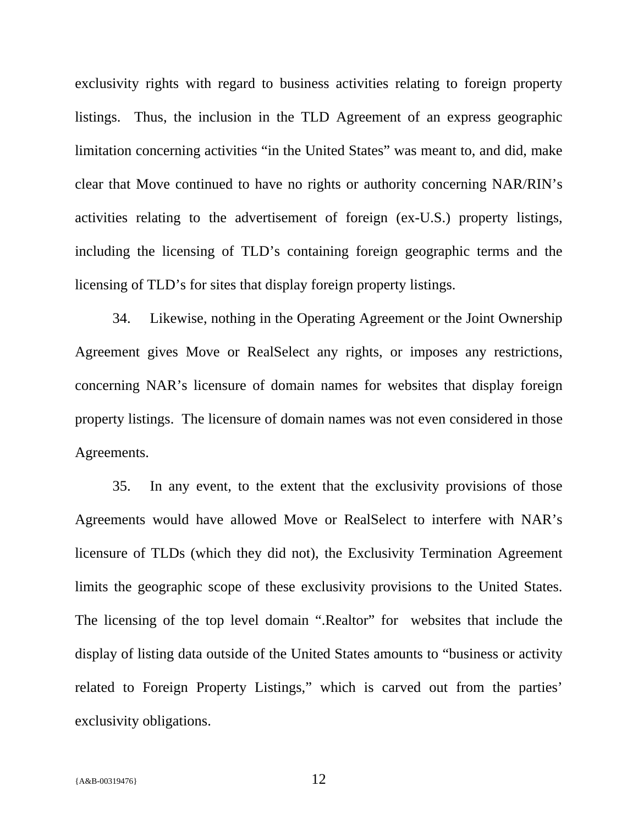exclusivity rights with regard to business activities relating to foreign property listings. Thus, the inclusion in the TLD Agreement of an express geographic limitation concerning activities "in the United States" was meant to, and did, make clear that Move continued to have no rights or authority concerning NAR/RIN's activities relating to the advertisement of foreign (ex-U.S.) property listings, including the licensing of TLD's containing foreign geographic terms and the licensing of TLD's for sites that display foreign property listings.

34. Likewise, nothing in the Operating Agreement or the Joint Ownership Agreement gives Move or RealSelect any rights, or imposes any restrictions, concerning NAR's licensure of domain names for websites that display foreign property listings. The licensure of domain names was not even considered in those Agreements.

35. In any event, to the extent that the exclusivity provisions of those Agreements would have allowed Move or RealSelect to interfere with NAR's licensure of TLDs (which they did not), the Exclusivity Termination Agreement limits the geographic scope of these exclusivity provisions to the United States. The licensing of the top level domain ".Realtor" for websites that include the display of listing data outside of the United States amounts to "business or activity related to Foreign Property Listings," which is carved out from the parties' exclusivity obligations.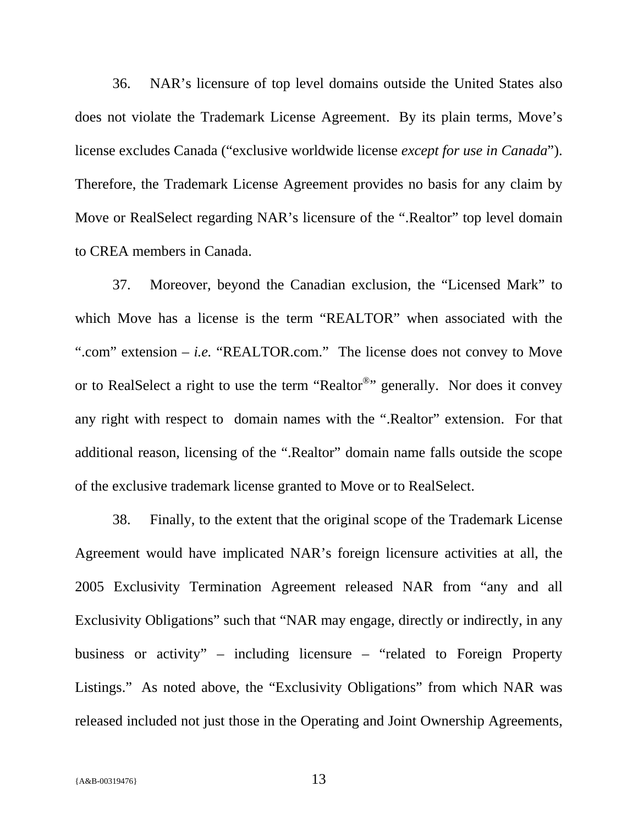36. NAR's licensure of top level domains outside the United States also does not violate the Trademark License Agreement. By its plain terms, Move's license excludes Canada ("exclusive worldwide license *except for use in Canada*"). Therefore, the Trademark License Agreement provides no basis for any claim by Move or RealSelect regarding NAR's licensure of the ".Realtor" top level domain to CREA members in Canada.

37. Moreover, beyond the Canadian exclusion, the "Licensed Mark" to which Move has a license is the term "REALTOR" when associated with the ".com" extension – *i.e.* "REALTOR.com." The license does not convey to Move or to RealSelect a right to use the term "Realtor<sup>®</sup>" generally. Nor does it convey any right with respect to domain names with the ".Realtor" extension. For that additional reason, licensing of the ".Realtor" domain name falls outside the scope of the exclusive trademark license granted to Move or to RealSelect.

38. Finally, to the extent that the original scope of the Trademark License Agreement would have implicated NAR's foreign licensure activities at all, the 2005 Exclusivity Termination Agreement released NAR from "any and all Exclusivity Obligations" such that "NAR may engage, directly or indirectly, in any business or activity" – including licensure – "related to Foreign Property Listings." As noted above, the "Exclusivity Obligations" from which NAR was released included not just those in the Operating and Joint Ownership Agreements,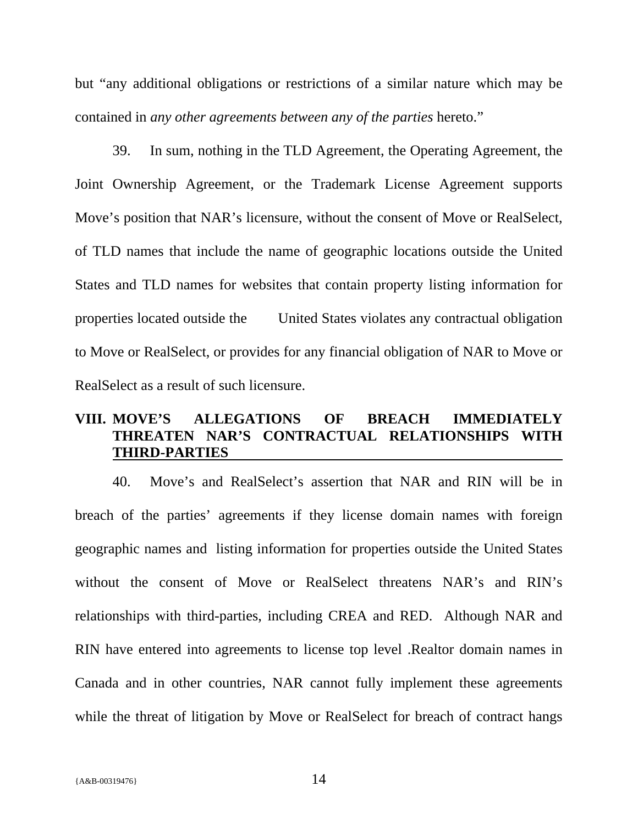but "any additional obligations or restrictions of a similar nature which may be contained in *any other agreements between any of the parties* hereto."

39. In sum, nothing in the TLD Agreement, the Operating Agreement, the Joint Ownership Agreement, or the Trademark License Agreement supports Move's position that NAR's licensure, without the consent of Move or RealSelect, of TLD names that include the name of geographic locations outside the United States and TLD names for websites that contain property listing information for properties located outside the United States violates any contractual obligation to Move or RealSelect, or provides for any financial obligation of NAR to Move or RealSelect as a result of such licensure.

# **VIII. MOVE'S ALLEGATIONS OF BREACH IMMEDIATELY THREATEN NAR'S CONTRACTUAL RELATIONSHIPS WITH THIRD-PARTIES**

40. Move's and RealSelect's assertion that NAR and RIN will be in breach of the parties' agreements if they license domain names with foreign geographic names and listing information for properties outside the United States without the consent of Move or RealSelect threatens NAR's and RIN's relationships with third-parties, including CREA and RED. Although NAR and RIN have entered into agreements to license top level .Realtor domain names in Canada and in other countries, NAR cannot fully implement these agreements while the threat of litigation by Move or RealSelect for breach of contract hangs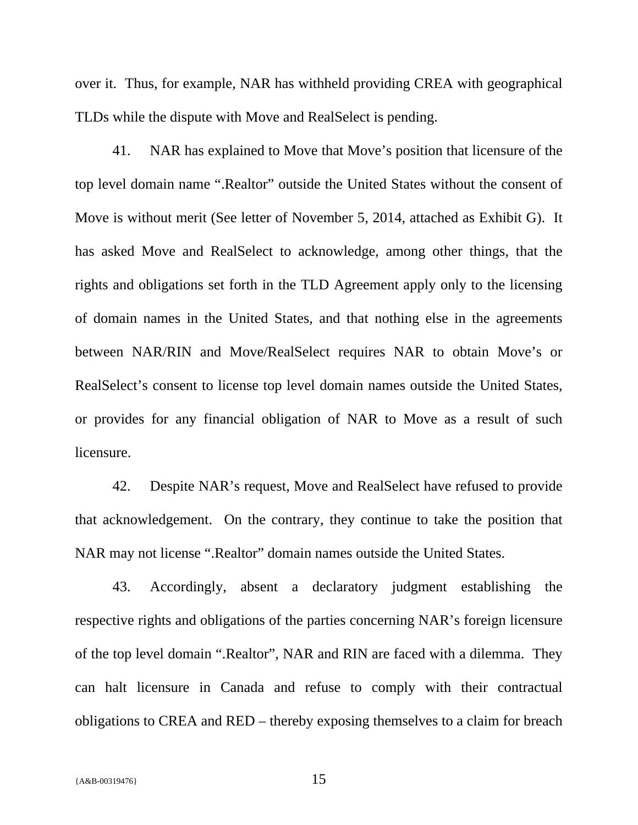over it. Thus, for example, NAR has withheld providing CREA with geographical TLDs while the dispute with Move and RealSelect is pending.

41. NAR has explained to Move that Move's position that licensure of the top level domain name ".Realtor" outside the United States without the consent of Move is without merit (See letter of November 5, 2014, attached as Exhibit G). It has asked Move and RealSelect to acknowledge, among other things, that the rights and obligations set forth in the TLD Agreement apply only to the licensing of domain names in the United States, and that nothing else in the agreements between NAR/RIN and Move/RealSelect requires NAR to obtain Move's or RealSelect's consent to license top level domain names outside the United States, or provides for any financial obligation of NAR to Move as a result of such licensure.

42. Despite NAR's request, Move and RealSelect have refused to provide that acknowledgement. On the contrary, they continue to take the position that NAR may not license ".Realtor" domain names outside the United States.

43. Accordingly, absent a declaratory judgment establishing the respective rights and obligations of the parties concerning NAR's foreign licensure of the top level domain ".Realtor", NAR and RIN are faced with a dilemma. They can halt licensure in Canada and refuse to comply with their contractual obligations to CREA and RED – thereby exposing themselves to a claim for breach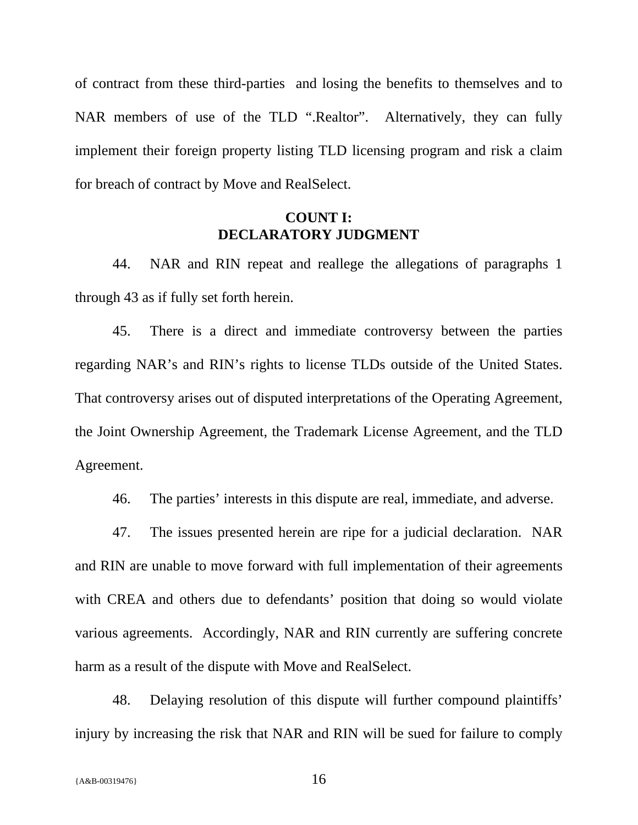of contract from these third-parties and losing the benefits to themselves and to NAR members of use of the TLD ".Realtor". Alternatively, they can fully implement their foreign property listing TLD licensing program and risk a claim for breach of contract by Move and RealSelect.

### **COUNT I: DECLARATORY JUDGMENT**

44. NAR and RIN repeat and reallege the allegations of paragraphs 1 through 43 as if fully set forth herein.

45. There is a direct and immediate controversy between the parties regarding NAR's and RIN's rights to license TLDs outside of the United States. That controversy arises out of disputed interpretations of the Operating Agreement, the Joint Ownership Agreement, the Trademark License Agreement, and the TLD Agreement.

46. The parties' interests in this dispute are real, immediate, and adverse.

47. The issues presented herein are ripe for a judicial declaration. NAR and RIN are unable to move forward with full implementation of their agreements with CREA and others due to defendants' position that doing so would violate various agreements. Accordingly, NAR and RIN currently are suffering concrete harm as a result of the dispute with Move and RealSelect.

48. Delaying resolution of this dispute will further compound plaintiffs' injury by increasing the risk that NAR and RIN will be sued for failure to comply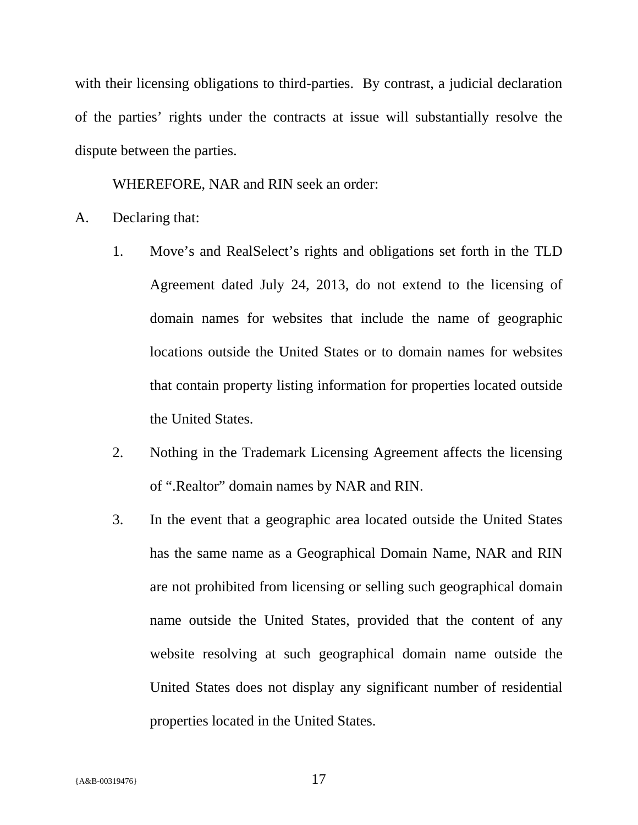with their licensing obligations to third-parties. By contrast, a judicial declaration of the parties' rights under the contracts at issue will substantially resolve the dispute between the parties.

WHEREFORE, NAR and RIN seek an order:

- A. Declaring that:
	- 1. Move's and RealSelect's rights and obligations set forth in the TLD Agreement dated July 24, 2013, do not extend to the licensing of domain names for websites that include the name of geographic locations outside the United States or to domain names for websites that contain property listing information for properties located outside the United States.
	- 2. Nothing in the Trademark Licensing Agreement affects the licensing of ".Realtor" domain names by NAR and RIN.
	- 3. In the event that a geographic area located outside the United States has the same name as a Geographical Domain Name, NAR and RIN are not prohibited from licensing or selling such geographical domain name outside the United States, provided that the content of any website resolving at such geographical domain name outside the United States does not display any significant number of residential properties located in the United States.